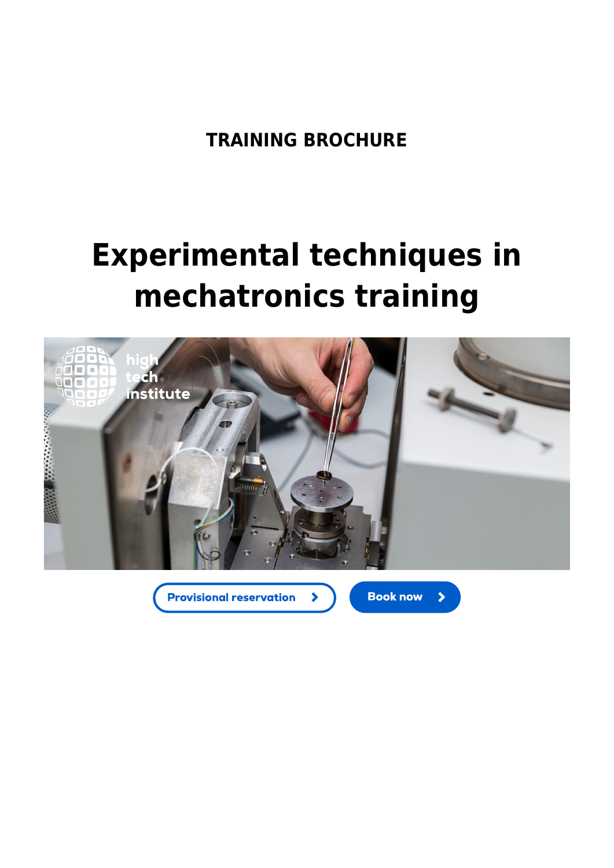**TRAINING BROCHURE**

# **Experimental techniques in mechatronics training**



 $\blacktriangleright$ 

**Provisional reservation** 

**Book now** 

 $\blacktriangleright$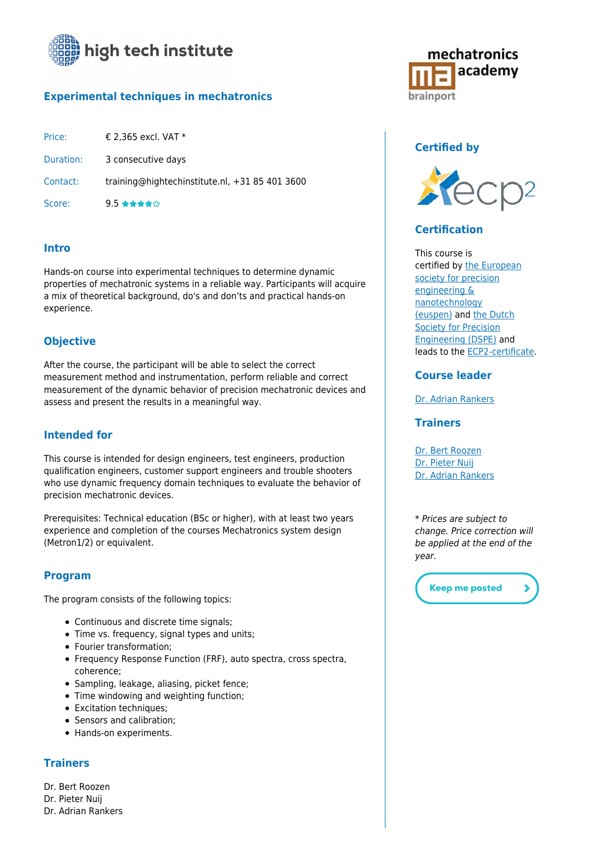

## **[Experimental techniques in mechatronics](https://www.hightechinstitute.nl/courses/experimental-techniques-in-mechatronics/)**

| Price:    | € 2,365 excl. VAT $*$                          |
|-----------|------------------------------------------------|
| Duration: | 3 consecutive days                             |
| Contact:  | training@hightechinstitute.nl, +31 85 401 3600 |
| Score:    | $9.5$ *****                                    |

## **Intro**

Hands-on course into experimental techniques to determine dynamic properties of mechatronic systems in a reliable way. Participants will acquire a mix of theoretical background, do's and don'ts and practical hands-on experience.

#### **Objective**

After the course, the participant will be able to select the correct measurement method and instrumentation, perform reliable and correct measurement of the dynamic behavior of precision mechatronic devices and assess and present the results in a meaningful way.

### **Intended for**

This course is intended for design engineers, test engineers, production qualification engineers, customer support engineers and trouble shooters who use dynamic frequency domain techniques to evaluate the behavior of precision mechatronic devices.

Prerequisites: Technical education (BSc or higher), with at least two years experience and completion of the courses Mechatronics system design (Metron1/2) or equivalent.

#### **Program**

The program consists of the following topics:

- Continuous and discrete time signals;
- Time vs. frequency, signal types and units;
- Fourier transformation;
- Frequency Response Function (FRF), auto spectra, cross spectra, coherence;
- Sampling, leakage, aliasing, picket fence;
- Time windowing and weighting function;
- Excitation techniques;
- Sensors and calibration:
- Hands-on experiments.

#### **Trainers**

Dr. Bert Roozen

- Dr. Pieter Nuij
- Dr. Adrian Rankers



## **Certified by**



#### **Certification**

This course is certified by [the European](http://www.euspen.eu/) [society for precision](http://www.euspen.eu/) [engineering &](http://www.euspen.eu/) [nanotechnology](http://www.euspen.eu/) [\(euspen\)](http://www.euspen.eu/) and [the Dutch](http://www.dspe.nl/) [Society for Precision](http://www.dspe.nl/) [Engineering \(DSPE\)](http://www.dspe.nl/) and leads to the [ECP2-certificate.](http://www.ecp2.eu/)

#### **Course leader**

[Dr. Adrian Rankers](https://www.hightechinstitute.nl/teachers/rankers-adrian/)

#### **Trainers**

[Dr. Bert Roozen](https://www.hightechinstitute.nl/teachers/bert-roozen/) [Dr. Pieter Nuij](https://www.hightechinstitute.nl/teachers/pieter-nuij/) [Dr. Adrian Rankers](https://www.hightechinstitute.nl/teachers/rankers-adrian/)

\* Prices are subject to change. Price correction will be applied at the end of the year.